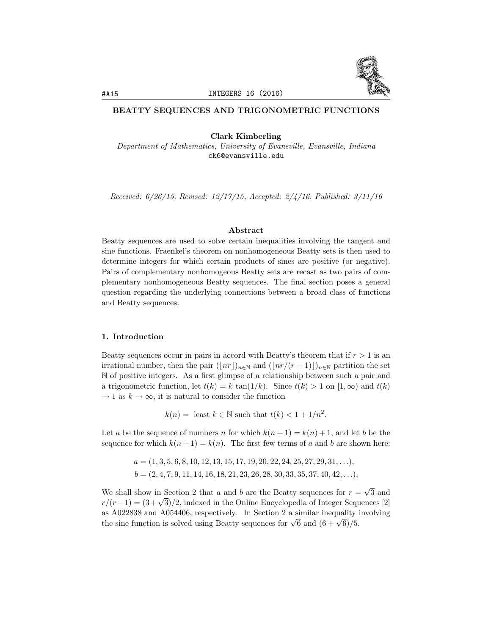

### BEATTY SEQUENCES AND TRIGONOMETRIC FUNCTIONS

Clark Kimberling

*Department of Mathematics, University of Evansville, Evansville, Indiana* ck6@evansville.edu

*Received: 6/26/15, Revised: 12/17/15, Accepted: 2/4/16, Published: 3/11/16*

### Abstract

Beatty sequences are used to solve certain inequalities involving the tangent and sine functions. Fraenkel's theorem on nonhomogeneous Beatty sets is then used to determine integers for which certain products of sines are positive (or negative). Pairs of complementary nonhomogeous Beatty sets are recast as two pairs of complementary nonhomogeneous Beatty sequences. The final section poses a general question regarding the underlying connections between a broad class of functions and Beatty sequences.

### 1. Introduction

Beatty sequences occur in pairs in accord with Beatty's theorem that if  $r > 1$  is an irrational number, then the pair  $(|nr|)_{n\in\mathbb{N}}$  and  $(|nr/(r-1)|)_{n\in\mathbb{N}}$  partition the set N of positive integers. As a first glimpse of a relationship between such a pair and a trigonometric function, let  $t(k) = k \tan(1/k)$ . Since  $t(k) > 1$  on  $[1, \infty)$  and  $t(k)$  $\rightarrow$  1 as  $k \rightarrow \infty$ , it is natural to consider the function

 $k(n) =$  least  $k \in \mathbb{N}$  such that  $t(k) < 1 + 1/n^2$ .

Let *a* be the sequence of numbers *n* for which  $k(n+1) = k(n) + 1$ , and let *b* be the sequence for which  $k(n+1) = k(n)$ . The first few terms of *a* and *b* are shown here:

> $a = (1, 3, 5, 6, 8, 10, 12, 13, 15, 17, 19, 20, 22, 24, 25, 27, 29, 31, \ldots),$  $b = (2, 4, 7, 9, 11, 14, 16, 18, 21, 23, 26, 28, 30, 33, 35, 37, 40, 42, \ldots),$

We shall show in Section 2 that *a* and *b* are the Beatty sequences for  $r = \sqrt{3}$  and  $r/(r-1) = (3+\sqrt{3})/2$ , indexed in the Online Encyclopedia of Integer Sequences [2] as A022838 and A054406, respectively. In Section 2 a similar inequality involving the sine function is solved using Beatty sequences for  $\sqrt{6}$  and  $(6 + \sqrt{6})/5$ .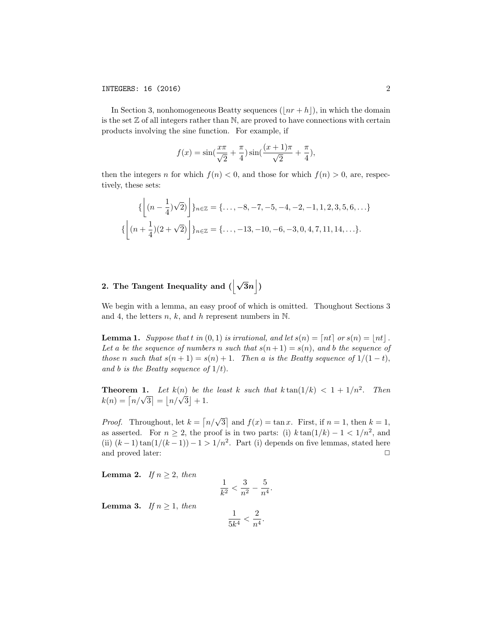In Section 3, nonhomogeneous Beatty sequences  $(|nr + h|)$ , in which the domain is the set  $\mathbb Z$  of all integers rather than  $\mathbb N$ , are proved to have connections with certain products involving the sine function. For example, if

$$
f(x) = \sin(\frac{x\pi}{\sqrt{2}} + \frac{\pi}{4})\sin(\frac{(x+1)\pi}{\sqrt{2}} + \frac{\pi}{4}),
$$

then the integers *n* for which  $f(n) < 0$ , and those for which  $f(n) > 0$ , are, respectively, these sets:

$$
\left\{ \left\lfloor (n - \frac{1}{4})\sqrt{2} \right\rfloor \right\}_{n \in \mathbb{Z}} = \left\{ \dots, -8, -7, -5, -4, -2, -1, 1, 2, 3, 5, 6, \dots \right\}
$$

$$
\left\{ \left\lfloor (n + \frac{1}{4})(2 + \sqrt{2}) \right\rfloor \right\}_{n \in \mathbb{Z}} = \left\{ \dots, -13, -10, -6, -3, 0, 4, 7, 11, 14, \dots \right\}.
$$

## 2. The Tangent Inequality and  $(\left|\sqrt{3}n\right|)$

We begin with a lemma, an easy proof of which is omitted. Thoughout Sections 3 and 4, the letters *n, k,* and *h* represent numbers in N.

**Lemma 1.** *Suppose that t in*  $(0,1)$  *is irrational, and let*  $s(n) = \lceil nt \rceil$  *or*  $s(n) = \lceil nt \rceil$ . *Let a be the sequence of numbers n such that*  $s(n+1) = s(n)$ *, and b the sequence of those n such that*  $s(n+1) = s(n) + 1$ *. Then a is the Beatty sequence of*  $1/(1-t)$ *, and b is the Beatty sequence of*  $1/t$ *).* 

**Theorem 1.** Let  $k(n)$  be the least k such that  $k \tan(1/k) < 1 + 1/n^2$ . Then  $k(n) = \lceil n/\sqrt{3} \rceil = \lceil n/\sqrt{3} \rceil + 1.$ 

*Proof.* Throughout, let  $k = \lfloor n/\sqrt{3} \rfloor$  and  $f(x) = \tan x$ . First, if  $n = 1$ , then  $k = 1$ , as asserted. For  $n \geq 2$ , the proof is in two parts: (i)  $k \tan(1/k) - 1 < 1/n^2$ , and (ii)  $(k-1)\tan(1/(k-1)) - 1 > 1/n^2$ . Part (i) depends on five lemmas, stated here and proved later: and proved later:

**Lemma 2.** *If*  $n \geq 2$ *, then* 

$$
\frac{1}{k^2} < \frac{3}{n^2} - \frac{5}{n^4}.
$$

**Lemma 3.** *If*  $n \geq 1$ *, then* 

$$
\frac{1}{5k^4} < \frac{2}{n^4}.
$$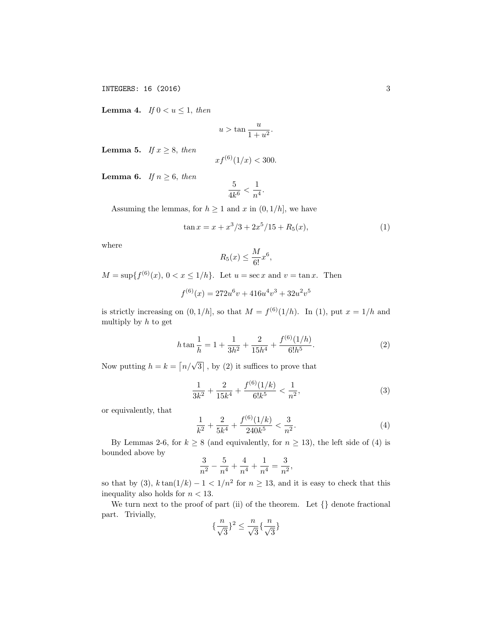INTEGERS: 16 (2016) 3

**Lemma 4.** *If*  $0 < u \leq 1$ *, then* 

$$
u > \tan \frac{u}{1 + u^2}.
$$

**Lemma 5.** *If*  $x \geq 8$ *, then* 

$$
xf^{(6)}(1/x) < 300.
$$

**Lemma 6.** *If*  $n \geq 6$ *, then* 

$$
\frac{5}{4k^6} < \frac{1}{n^4}.
$$

Assuming the lemmas, for  $h \geq 1$  and  $x$  in  $(0, 1/h]$ , we have

$$
\tan x = x + x^3/3 + 2x^5/15 + R_5(x),\tag{1}
$$

where

$$
R_5(x) \le \frac{M}{6!}x^6,
$$

*M* = sup{ $f^{(6)}(x)$ ,  $0 < x \le 1/h$ }*.* Let  $u = \sec x$  and  $v = \tan x$ . Then

$$
f^{(6)}(x) = 272u^6v + 416u^4v^3 + 32u^2v^5
$$

is strictly increasing on  $(0, 1/h]$ , so that  $M = f^{(6)}(1/h)$ . In (1), put  $x = 1/h$  and multiply by *h* to get

$$
h \tan \frac{1}{h} = 1 + \frac{1}{3h^2} + \frac{2}{15h^4} + \frac{f^{(6)}(1/h)}{6!h^5}.
$$
 (2)

Now putting  $h = k = \lfloor n/\sqrt{3} \rfloor$ , by (2) it suffices to prove that

$$
\frac{1}{3k^2} + \frac{2}{15k^4} + \frac{f^{(6)}(1/k)}{6!k^5} < \frac{1}{n^2},\tag{3}
$$

or equivalently, that

$$
\frac{1}{k^2} + \frac{2}{5k^4} + \frac{f^{(6)}(1/k)}{240k^5} < \frac{3}{n^2}.\tag{4}
$$

By Lemmas 2-6, for  $k \ge 8$  (and equivalently, for  $n \ge 13$ ), the left side of (4) is bounded above by

$$
\frac{3}{n^2} - \frac{5}{n^4} + \frac{4}{n^4} + \frac{1}{n^4} = \frac{3}{n^2},
$$

so that by (3),  $k \tan(1/k) - 1 < 1/n^2$  for  $n \ge 13$ , and it is easy to check that this inequality also holds for  $n < 13$ .

We turn next to the proof of part (ii) of the theorem. Let *{}* denote fractional part. Trivially,

$$
\{\frac{n}{\sqrt{3}}\}^2 \leq \frac{n}{\sqrt{3}}\{\frac{n}{\sqrt{3}}\}
$$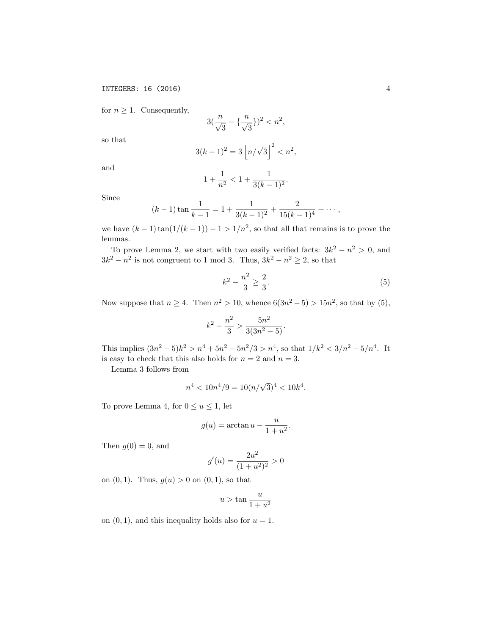for  $n \geq 1$ . Consequently,

$$
3(\frac{n}{\sqrt{3}} - {\frac{n}{\sqrt{3}}})^2 < n^2,
$$

so that

$$
3(k-1)^2 = 3\left\lfloor n/\sqrt{3}\right\rfloor^2 < n^2,
$$

and

$$
1 + \frac{1}{n^2} < 1 + \frac{1}{3(k-1)^2}.
$$

Since

$$
(k-1)\tan\frac{1}{k-1} = 1 + \frac{1}{3(k-1)^2} + \frac{2}{15(k-1)^4} + \cdots,
$$

we have  $(k-1)\tan(1/(k-1)) - 1 > 1/n^2$ , so that all that remains is to prove the lemmas.

To prove Lemma 2, we start with two easily verified facts:  $3k^2 - n^2 > 0$ , and  $3k^2 - n^2$  is not congruent to 1 mod 3. Thus,  $3k^2 - n^2 \ge 2$ , so that

$$
k^2 - \frac{n^2}{3} \ge \frac{2}{3}.\tag{5}
$$

Now suppose that  $n \geq 4$ . Then  $n^2 > 10$ , whence  $6(3n^2 - 5) > 15n^2$ , so that by (5),

$$
k^2 - \frac{n^2}{3} > \frac{5n^2}{3(3n^2 - 5)}.
$$

This implies  $(3n^2 - 5)k^2 > n^4 + 5n^2 - 5n^2/3 > n^4$ , so that  $1/k^2 < 3/n^2 - 5/n^4$ . It is easy to check that this also holds for  $n = 2$  and  $n = 3$ .

Lemma 3 follows from

$$
n^4 < 10n^4/9 = 10(n/\sqrt{3})^4 < 10k^4.
$$

To prove Lemma 4, for  $0 \le u \le 1$ , let

$$
g(u) = \arctan u - \frac{u}{1 + u^2}.
$$

Then  $g(0) = 0$ , and

$$
g'(u) = \frac{2u^2}{(1+u^2)^2} > 0
$$

on  $(0, 1)$ *.* Thus,  $g(u) > 0$  on  $(0, 1)$ *,* so that

$$
u > \tan \frac{u}{1 + u^2}
$$

on  $(0, 1)$ , and this inequality holds also for  $u = 1$ .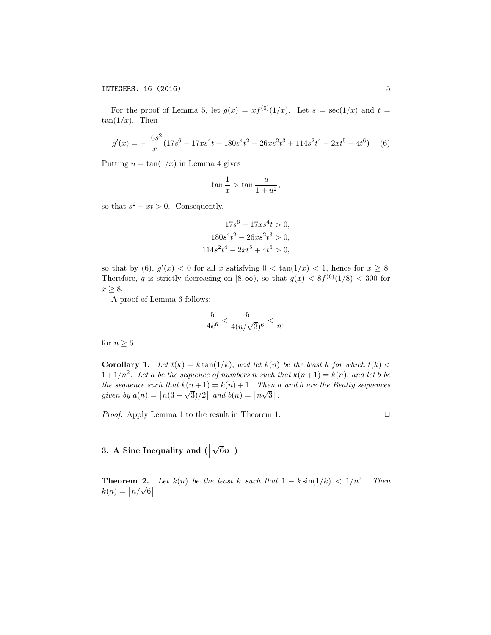For the proof of Lemma 5, let  $g(x) = xf^{(6)}(1/x)$ . Let  $s = \sec(1/x)$  and  $t =$  $tan(1/x)$ . Then

$$
g'(x) = -\frac{16s^2}{x}(17s^6 - 17xs^4t + 180s^4t^2 - 26xs^2t^3 + 114s^2t^4 - 2xt^5 + 4t^6) \tag{6}
$$

Putting  $u = \tan(1/x)$  in Lemma 4 gives

$$
\tan\frac{1}{x} > \tan\frac{u}{1+u^2},
$$

so that  $s^2 - xt > 0$ . Consequently,

$$
17s6 - 17xs4t > 0,
$$
  
\n
$$
180s4t2 - 26xs2t3 > 0,
$$
  
\n
$$
114s2t4 - 2xt5 + 4t6 > 0,
$$

so that by  $(6)$ ,  $g'(x) < 0$  for all *x* satisfying  $0 < \tan(1/x) < 1$ , hence for  $x \geq 8$ . Therefore, *g* is strictly decreasing on  $[8,\infty)$ , so that  $g(x) < 8f^{(6)}(1/8) < 300$  for  $x \geq 8$ .

A proof of Lemma 6 follows:

$$
\frac{5}{4k^6} < \frac{5}{4(n/\sqrt{3})^6} < \frac{1}{n^4}
$$

for  $n \geq 6$ .

**Corollary 1.** Let  $t(k) = k \tan(1/k)$ , and let  $k(n)$  be the least k for which  $t(k)$  $1+1/n^2$ . Let a be the sequence of numbers n such that  $k(n+1) = k(n)$ , and let b be *the sequence such that*  $k(n+1) = k(n) + 1$ *. Then a and b are the Beatty sequences given by*  $a(n) = |n(3 + \sqrt{3})/2|$  *and*  $b(n) = |n\sqrt{3}|$ .

*Proof.* Apply Lemma 1 to the result in Theorem 1.  $\Box$ 

# 3. A Sine Inequality and  $(\left|\sqrt{6}n\right|)$

**Theorem 2.** Let  $k(n)$  be the least  $k$  such that  $1 - k \sin(1/k) < 1/n^2$ . Then  $k(n) = \lceil n/\sqrt{6} \rceil$ .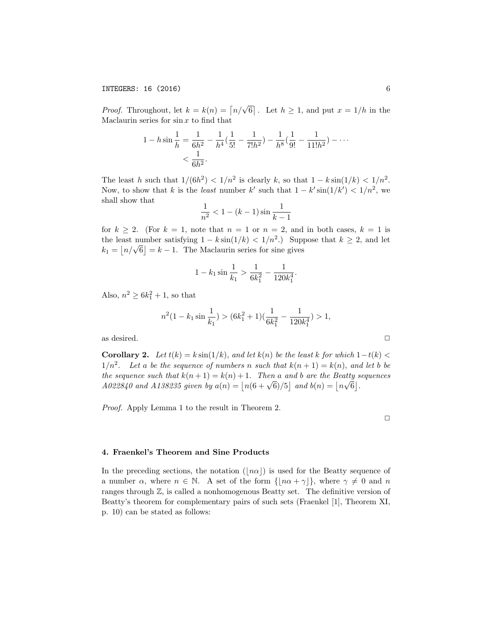*Proof.* Throughout, let  $k = k(n) = \lfloor n/\sqrt{6} \rfloor$ . Let  $h \ge 1$ , and put  $x = 1/h$  in the Maclaurin series for sin *x* to find that

$$
1 - h \sin \frac{1}{h} = \frac{1}{6h^2} - \frac{1}{h^4} \left( \frac{1}{5!} - \frac{1}{7!h^2} \right) - \frac{1}{h^8} \left( \frac{1}{9!} - \frac{1}{11!h^2} \right) - \dots
$$

$$
< \frac{1}{6h^2}.
$$

The least *h* such that  $1/(6h^2) < 1/n^2$  is clearly *k*, so that  $1 - k \sin(1/k) < 1/n^2$ . Now, to show that *k* is the *least* number *k'* such that  $1 - k' \sin(1/k') < 1/n^2$ , we shall show that

$$
\frac{1}{n^2} < 1 - (k-1)\sin\frac{1}{k-1}
$$

for  $k \geq 2$ . (For  $k = 1$ , note that  $n = 1$  or  $n = 2$ , and in both cases,  $k = 1$  is the least number satisfying  $1 - k \sin(1/k) < 1/n^2$ .) Suppose that  $k \geq 2$ , and let  $k_1 = \lfloor n/\sqrt{6} \rfloor = k - 1$ . The Maclaurin series for sine gives

$$
1 - k_1 \sin \frac{1}{k_1} > \frac{1}{6k_1^2} - \frac{1}{120k_1^4}.
$$

Also,  $n^2 \ge 6k_1^2 + 1$ , so that

$$
n^2(1 - k_1 \sin \frac{1}{k_1}) > (6k_1^2 + 1)\left(\frac{1}{6k_1^2} - \frac{1}{120k_1^4}\right) > 1,
$$

as desired.  $\hfill \square$ 

**Corollary 2.** Let  $t(k) = k \sin(1/k)$ , and let  $k(n)$  be the least  $k$  for which  $1-t(k)$  $1/n^2$ . Let a be the sequence of numbers n such that  $k(n+1) = k(n)$ , and let b be *the sequence such that*  $k(n+1) = k(n) + 1$ *. Then a and b are the Beatty sequences A022840* and *A138235* given by  $a(n) = |n(6 + \sqrt{6})/5|$  and  $b(n) = |n\sqrt{6}|$ .

*Proof.* Apply Lemma 1 to the result in Theorem 2.

#### 4. Fraenkel's Theorem and Sine Products

In the preceding sections, the notation  $(|n\alpha|)$  is used for the Beatty sequence of a number  $\alpha$ , where  $n \in \mathbb{N}$ . A set of the form  $\{|n\alpha + \gamma|\}$ , where  $\gamma \neq 0$  and n ranges through Z*,* is called a nonhomogenous Beatty set. The definitive version of Beatty's theorem for complementary pairs of such sets (Fraenkel [1], Theorem XI, p. 10) can be stated as follows: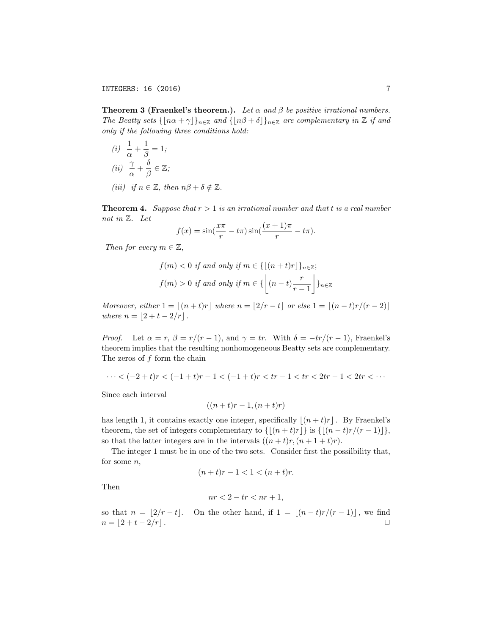**Theorem 3 (Fraenkel's theorem.).** Let  $\alpha$  and  $\beta$  be positive irrational numbers. *The Beatty sets*  $\{[n\alpha + \gamma]\}_{n \in \mathbb{Z}}$  *and*  $\{[n\beta + \delta]\}_{n \in \mathbb{Z}}$  *are complementary in*  $\mathbb{Z}$  *if and only if the following three conditions hold:*

*(i)*  $\frac{1}{\alpha} + \frac{1}{\beta} = 1;$ (*ii*)  $\frac{\gamma}{\alpha} + \frac{\delta}{\beta} \in \mathbb{Z}$ ;

*(iii) if*  $n \in \mathbb{Z}$ *, then*  $n\beta + \delta \notin \mathbb{Z}$ *.* 

**Theorem 4.** Suppose that  $r > 1$  is an irrational number and that t is a real number *not in* Z*. Let*

$$
f(x) = \sin(\frac{x\pi}{r} - t\pi)\sin(\frac{(x+1)\pi}{r} - t\pi).
$$

*Then for every*  $m \in \mathbb{Z}$ *,* 

$$
f(m) < 0 \text{ if and only if } m \in \{ \lfloor (n+t)r \rfloor \}_{n \in \mathbb{Z}};
$$
  

$$
f(m) > 0 \text{ if and only if } m \in \{ \left\lfloor (n-t)\frac{r}{r-1} \right\rfloor \}_{n \in \mathbb{Z}}
$$

*Moreover, either*  $1 = \lfloor (n + t)r \rfloor$  *where*  $n = \lfloor 2/r - t \rfloor$  *or else*  $1 = \lfloor (n - t)r/(r - 2) \rfloor$ *where*  $n = [2 + t - 2/r]$ .

*Proof.* Let  $\alpha = r$ ,  $\beta = r/(r-1)$ , and  $\gamma = tr$ . With  $\delta = -tr/(r-1)$ , Fraenkel's theorem implies that the resulting nonhomogeneous Beatty sets are complementary. The zeros of *f* form the chain

$$
\cdots < (-2+t)r < (-1+t)r - 1 < (-1+t)r < tr - 1 < tr < 2tr - 1 < tr < \cdots
$$

Since each interval

$$
((n+t)r-1,(n+t)r)
$$

has length 1, it contains exactly one integer, specifically  $|(n + t)r|$ . By Fraenkel's theorem, the set of integers complementary to  $\{[(n + t)r]\}$  is  $\{[(n - t)r/(r - 1)]\}$ , so that the latter integers are in the intervals  $((n + t)r, (n + 1 + t)r)$ .

The integer 1 must be in one of the two sets. Consider first the possilbility that, for some *n,*

$$
(n+t)r - 1 < 1 < (n+t)r.
$$

Then

$$
nr < 2 - tr < nr + 1,
$$

so that  $n = \lfloor 2/r - t \rfloor$ . On the other hand, if  $1 = \lfloor (n - t)r/(r - 1) \rfloor$ , we find  $n = \lfloor 2 + t - 2/r \rfloor$ .  $n = [2 + t - 2/r].$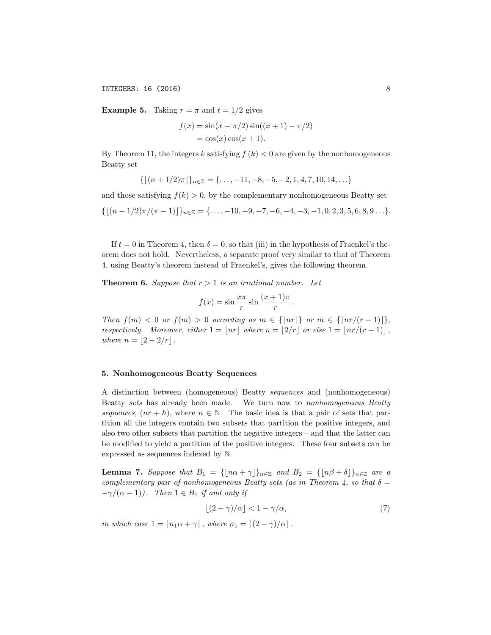INTEGERS: 16 (2016) 8

**Example 5.** Taking  $r = \pi$  and  $t = 1/2$  gives

$$
f(x) = \sin(x - \pi/2) \sin((x + 1) - \pi/2)
$$
  
= cos(x) cos(x + 1).

By Theorem 11, the integers *k* satisfying  $f(k) < 0$  are given by the nonhomogeneous Beatty set

$$
\{ \lfloor (n+1/2)\pi \rfloor \}_{n \in \mathbb{Z}} = \{ \ldots, -11, -8, -5, -2, 1, 4, 7, 10, 14, \ldots \}
$$

and those satisfying  $f(k) > 0$ , by the complementary nonhomogeneous Beatty set

$$
\{[(n-1/2)\pi/(\pi-1)]\}_{n\in\mathbb{Z}}=\{\ldots,-10,-9,-7,-6,-4,-3,-1,0,2,3,5,6,8,9\ldots\}.
$$

If  $t = 0$  in Theorem 4, then  $\delta = 0$ , so that (iii) in the hypothesis of Fraenkel's theorem does not hold. Nevertheless, a separate proof very similar to that of Theorem 4, using Beatty's theorem instead of Fraenkel's, gives the following theorem.

**Theorem 6.** Suppose that  $r > 1$  is an irrational number. Let

$$
f(x) = \sin \frac{x\pi}{r} \sin \frac{(x+1)\pi}{r}.
$$

*Then*  $f(m) < 0$  *or*  $f(m) > 0$  *according as*  $m \in \{[nr]\}$  *or*  $m \in \{[nr/(r-1)]\}$ , *respectively. Moreover, either*  $1 = |n r|$  *where*  $n = |2/r|$  *or else*  $1 = |n r/(r-1)|$ , *where*  $n = |2 - 2/r|$ .

### 5. Nonhomogeneous Beatty Sequences

A distinction between (homogeneous) Beatty *sequences* and (nonhomogeneous) Beatty *sets* has already been made. We turn now to *nonhomogeneous Beatty sequences*,  $(nr+h)$ , where  $n \in \mathbb{N}$ . The basic idea is that a pair of sets that partition all the integers contain two subsets that partition the positive integers, and also two other subsets that partition the negative integers – and that the latter can be modified to yield a partition of the positive integers. These four subsets can be expressed as sequences indexed by N.

**Lemma 7.** Suppose that  $B_1 = \{ |n\alpha + \gamma| \}_{n \in \mathbb{Z}} \text{ and } B_2 = \{ |n\beta + \delta| \}_{n \in \mathbb{Z}} \text{ are a }$ *complementary pair of nonhomogeneous Beatty sets* (as *in* Theorem 4, so that  $\delta =$  $-\gamma/(\alpha - 1)$ . *Then*  $1 \in B_1$  *if and only if* 

$$
\lfloor (2 - \gamma)/\alpha \rfloor < 1 - \gamma/\alpha,\tag{7}
$$

*in* which case  $1 = |n_1\alpha + \gamma|$ , where  $n_1 = |(2 - \gamma)/\alpha|$ .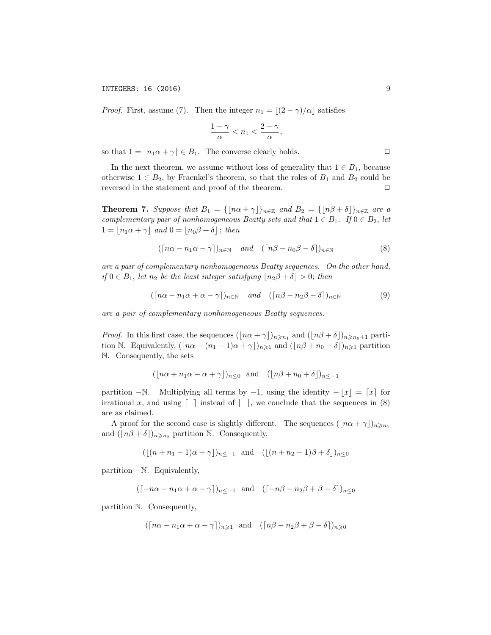INTEGERS: 16 (2016) 9

*Proof.* First, assume (7). Then the integer  $n_1 = \lfloor (2 - \gamma)/\alpha \rfloor$  satisfies

$$
\frac{1-\gamma}{\alpha} < n_1 < \frac{2-\gamma}{\alpha},
$$

so that  $1 = [n_1\alpha + \gamma] \in B_1$ . The converse clearly holds.

In the next theorem, we assume without loss of generality that  $1 \in B_1$ , because otherwise  $1 \in B_2$ , by Fraenkel's theorem, so that the roles of  $B_1$  and  $B_2$  could be reversed in the statement and proof of the theorem. reversed in the statement and proof of the theorem.

**Theorem 7.** Suppose that  $B_1 = \{ \lfloor n\alpha + \gamma \rfloor \}_{n \in \mathbb{Z}} \text{ and } B_2 = \{ \lfloor n\beta + \delta \rfloor \}_{n \in \mathbb{Z}} \text{ are a }$ *complementary pair of nonhomogeneous Beatty sets and that*  $1 \in B_1$ *. If*  $0 \in B_2$ *, let*  $1 = \lfloor n_1 \alpha + \gamma \rfloor$  and  $0 = \lfloor n_0 \beta + \delta \rfloor$ ; then

$$
(\lceil n\alpha - n_1\alpha - \gamma \rceil)_{n \in \mathbb{N}} \quad \text{and} \quad (\lceil n\beta - n_0\beta - \delta \rceil)_{n \in \mathbb{N}} \tag{8}
$$

*are a pair of complementary nonhomogeneous Beatty sequences. On the other hand, if*  $0 \in B_1$ *, let*  $n_2$  *be the least integer satisfying*  $\lfloor n_2 \beta + \delta \rfloor > 0$ *; then* 

$$
(\lceil n\alpha - n_1\alpha + \alpha - \gamma \rceil)_{n \in \mathbb{N}} \quad \text{and} \quad (\lceil n\beta - n_2\beta - \delta \rceil)_{n \in \mathbb{N}} \tag{9}
$$

*are a pair of complementary nonhomogeneous Beatty sequences.*

*Proof.* In this first case, the sequences  $(\lfloor n\alpha + \gamma \rfloor)_{n \geq n_1}$  and  $(\lfloor n\beta + \delta \rfloor)_{n \geq n_0+1}$  partition N. Equivalently,  $(\lfloor n\alpha + (n_1 - 1)\alpha + \gamma \rfloor)_{n \geq 1}$  and  $(\lfloor n\beta + n_0 + \delta \rfloor)_{n \geq 1}$  partition N. Consequently, the sets

$$
(\lfloor n\alpha + n_1\alpha - \alpha + \gamma \rfloor)_{n \le 0} \text{ and } (\lfloor n\beta + n_0 + \delta \rfloor)_{n \le -1}
$$

partition  $-\mathbb{N}$ . Multiplying all terms by  $-1$ , using the identity  $-\lfloor x \rfloor = \lceil x \rceil$  for irrational x, and using  $\lceil \cdot \rceil$  instead of  $\lceil \cdot \rceil$ , we conclude that the sequences in (8) are as claimed.

A proof for the second case is slightly different. The sequences  $(\lfloor n\alpha + \gamma \rfloor)_{n \geq n_1}$ and  $(\lfloor n\beta + \delta \rfloor)_{n \geq n_2}$  partition N. Consequently,

$$
(\lfloor (n+n_1-1)\alpha+\gamma \rfloor)_{n\leq -1} \text{ and } (\lfloor (n+n_2-1)\beta+\delta \rfloor)_{n\leq 0}
$$

partition  $-N$ . Equivalently,

$$
(\lceil -n\alpha - n_1\alpha + \alpha - \gamma \rceil)_{n \leq -1}
$$
 and  $(\lceil -n\beta - n_2\beta + \beta - \delta \rceil)_{n \leq 0}$ 

partition N*.* Consequently,

$$
(\lceil n\alpha - n_1\alpha + \alpha - \gamma \rceil)_{n \geqslant 1} \text{ and } (\lceil n\beta - n_2\beta + \beta - \delta \rceil)_{n \geqslant 0}
$$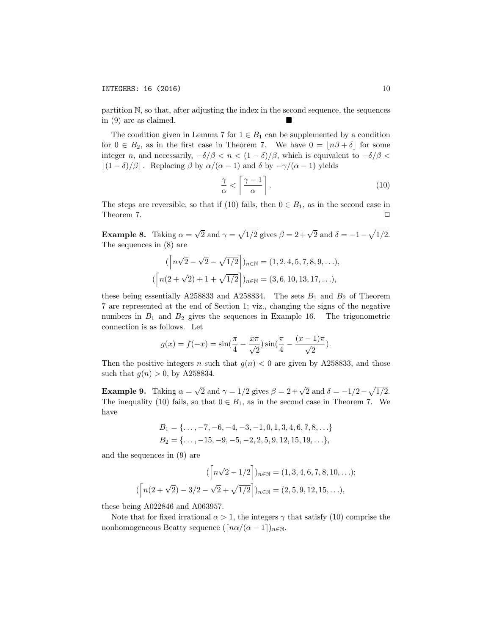partition N*,* so that, after adjusting the index in the second sequence, the sequences in  $(9)$  are as claimed.

The condition given in Lemma 7 for  $1 \in B_1$  can be supplemented by a condition for  $0 \in B_2$ , as in the first case in Theorem 7. We have  $0 = \lfloor n\beta + \delta \rfloor$  for some integer *n*, and necessarily,  $-\delta/\beta < n < (1 - \delta)/\beta$ , which is equivalent to  $-\delta/\beta <$  $\lfloor (1 - \delta)/\beta \rfloor$ . Replacing  $\beta$  by  $\alpha/(\alpha - 1)$  and  $\delta$  by  $-\gamma/(\alpha - 1)$  yields

$$
\frac{\gamma}{\alpha} < \left\lceil \frac{\gamma - 1}{\alpha} \right\rceil. \tag{10}
$$

The steps are reversible, so that if (10) fails, then  $0 \in B_1$ , as in the second case in Theorem 7 Theorem 7.

**Example 8.** Taking  $\alpha = \sqrt{2}$  and  $\gamma = \sqrt{1/2}$  gives  $\beta = 2+\sqrt{2}$  and  $\delta = -1-\sqrt{1/2}$ *.* The sequences in (8) are

$$
(\left\lceil n\sqrt{2} - \sqrt{2} - \sqrt{1/2} \right\rceil)_{n \in \mathbb{N}} = (1, 2, 4, 5, 7, 8, 9, \ldots),
$$
  

$$
(\left\lceil n(2 + \sqrt{2}) + 1 + \sqrt{1/2} \right\rceil)_{n \in \mathbb{N}} = (3, 6, 10, 13, 17, \ldots),
$$

these being essentially A258833 and A258834. The sets  $B_1$  and  $B_2$  of Theorem 7 are represented at the end of Section 1; viz., changing the signs of the negative numbers in  $B_1$  and  $B_2$  gives the sequences in Example 16. The trigonometric connection is as follows. Let

$$
g(x) = f(-x) = \sin(\frac{\pi}{4} - \frac{x\pi}{\sqrt{2}})\sin(\frac{\pi}{4} - \frac{(x-1)\pi}{\sqrt{2}}).
$$

Then the positive integers *n* such that  $g(n) < 0$  are given by A258833, and those such that  $g(n) > 0$ , by A258834.

**Example 9.** Taking  $\alpha = \sqrt{2}$  and  $\gamma = 1/2$  gives  $\beta = 2 + \sqrt{2}$  and  $\delta = -1/2 - \sqrt{1/2}$ *.* The inequality (10) fails, so that  $0 \in B_1$ , as in the second case in Theorem 7. We have

$$
B_1 = \{\ldots, -7, -6, -4, -3, -1, 0, 1, 3, 4, 6, 7, 8, \ldots\}
$$
  

$$
B_2 = \{\ldots, -15, -9, -5, -2, 2, 5, 9, 12, 15, 19, \ldots\},\
$$

and the sequences in (9) are

$$
(\lceil n\sqrt{2} - 1/2 \rceil)_{n \in \mathbb{N}} = (1, 3, 4, 6, 7, 8, 10, \ldots);
$$

$$
(\lceil n(2 + \sqrt{2}) - 3/2 - \sqrt{2} + \sqrt{1/2} \rceil)_{n \in \mathbb{N}} = (2, 5, 9, 12, 15, \ldots),
$$

these being A022846 and A063957.

Note that for fixed irrational  $\alpha > 1$ , the integers  $\gamma$  that satisfy (10) comprise the nonhomogeneous Beatty sequence  $(\lceil n\alpha/(\alpha-1) \rceil)_{n\in\mathbb{N}}$ .